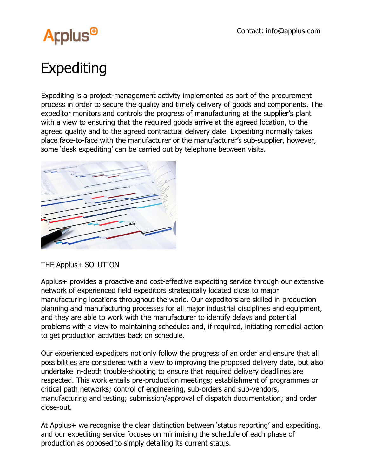

## Expediting

Expediting is a project-management activity implemented as part of the procurement process in order to secure the quality and timely delivery of goods and components. The expeditor monitors and controls the progress of manufacturing at the supplier's plant with a view to ensuring that the required goods arrive at the agreed location, to the agreed quality and to the agreed contractual delivery date. Expediting normally takes place face-to-face with the manufacturer or the manufacturer's sub-supplier, however, some 'desk expediting' can be carried out by telephone between visits.



THE Applus+ SOLUTION

Applus+ provides a proactive and cost-effective expediting service through our extensive network of experienced field expeditors strategically located close to major manufacturing locations throughout the world. Our expeditors are skilled in production planning and manufacturing processes for all major industrial disciplines and equipment, and they are able to work with the manufacturer to identify delays and potential problems with a view to maintaining schedules and, if required, initiating remedial action to get production activities back on schedule.

Our experienced expediters not only follow the progress of an order and ensure that all possibilities are considered with a view to improving the proposed delivery date, but also undertake in-depth trouble-shooting to ensure that required delivery deadlines are respected. This work entails pre-production meetings; establishment of programmes or critical path networks; control of engineering, sub-orders and sub-vendors, manufacturing and testing; submission/approval of dispatch documentation; and order close-out.

At Applus+ we recognise the clear distinction between 'status reporting' and expediting, and our expediting service focuses on minimising the schedule of each phase of production as opposed to simply detailing its current status.